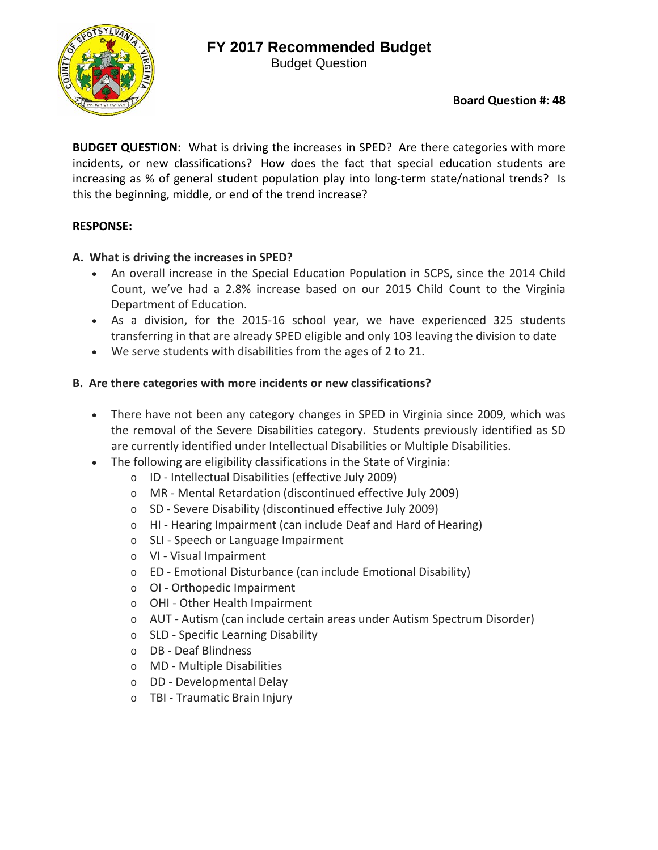# **FY 2017 Recommended Budget**

Budget Question



**BUDGET QUESTION:** What is driving the increases in SPED? Are there categories with more incidents, or new classifications? How does the fact that special education students are increasing as % of general student population play into long-term state/national trends? Is this the beginning, middle, or end of the trend increase?

### **RESPONSE:**

## **A. What is driving the increases in SPED?**

- An overall increase in the Special Education Population in SCPS, since the 2014 Child Count, we've had a 2.8% increase based on our 2015 Child Count to the Virginia Department of Education.
- As a division, for the 2015‐16 school year, we have experienced 325 students transferring in that are already SPED eligible and only 103 leaving the division to date
- We serve students with disabilities from the ages of 2 to 21.

## **B. Are there categories with more incidents or new classifications?**

- There have not been any category changes in SPED in Virginia since 2009, which was the removal of the Severe Disabilities category. Students previously identified as SD are currently identified under Intellectual Disabilities or Multiple Disabilities.
- The following are eligibility classifications in the State of Virginia:
	- o ID ‐ Intellectual Disabilities (effective July 2009)
	- o MR ‐ Mental Retardation (discontinued effective July 2009)
	- o SD ‐ Severe Disability (discontinued effective July 2009)
	- o HI ‐ Hearing Impairment (can include Deaf and Hard of Hearing)
	- o SLI ‐ Speech or Language Impairment
	- o VI ‐ Visual Impairment
	- o ED ‐ Emotional Disturbance (can include Emotional Disability)
	- o OI ‐ Orthopedic Impairment
	- o OHI ‐ Other Health Impairment
	- o AUT ‐ Autism (can include certain areas under Autism Spectrum Disorder)
	- o SLD ‐ Specific Learning Disability
	- o DB ‐ Deaf Blindness
	- o MD ‐ Multiple Disabilities
	- o DD ‐ Developmental Delay
	- o TBI ‐ Traumatic Brain Injury